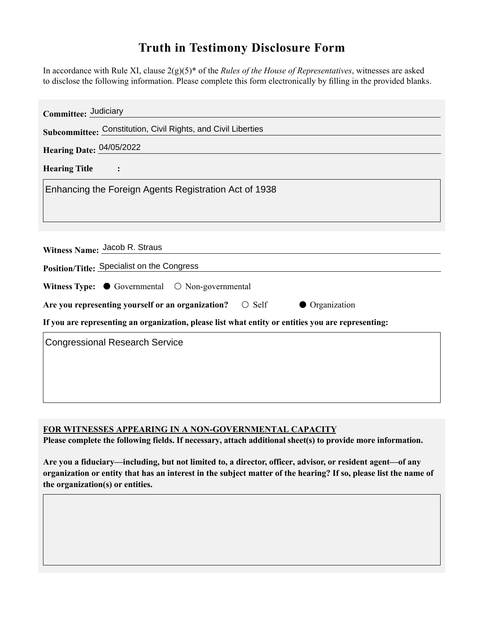## **Truth in Testimony Disclosure Form**

In accordance with Rule XI, clause 2(g)(5)\* of the *Rules of the House of Representatives*, witnesses are asked to disclose the following information. Please complete this form electronically by filling in the provided blanks.

| Committee: Judiciary                                                                               |
|----------------------------------------------------------------------------------------------------|
| Subcommittee: Constitution, Civil Rights, and Civil Liberties                                      |
| Hearing Date: 04/05/2022                                                                           |
| <b>Hearing Title</b>                                                                               |
| Enhancing the Foreign Agents Registration Act of 1938                                              |
|                                                                                                    |
|                                                                                                    |
| Witness Name: Jacob R. Straus                                                                      |
| Position/Title: Specialist on the Congress                                                         |
| Witness Type: $\bullet$ Governmental $\circ$ Non-governmental                                      |
| Are you representing yourself or an organization?<br>$\circ$ Self<br>Organization                  |
| If you are representing an organization, please list what entity or entities you are representing: |
| <b>Congressional Research Service</b>                                                              |
|                                                                                                    |
|                                                                                                    |
|                                                                                                    |

**FOR WITNESSES APPEARING IN A NON-GOVERNMENTAL CAPACITY**

**Please complete the following fields. If necessary, attach additional sheet(s) to provide more information.**

**Are you a fiduciary—including, but not limited to, a director, officer, advisor, or resident agent—of any organization or entity that has an interest in the subject matter of the hearing? If so, please list the name of the organization(s) or entities.**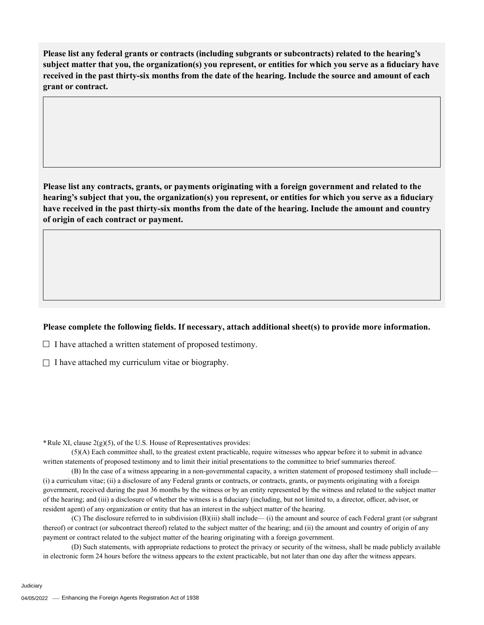**Please list any federal grants or contracts (including subgrants or subcontracts) related to the hearing's subject matter that you, the organization(s) you represent, or entities for which you serve as a fiduciary have received in the past thirty-six months from the date of the hearing. Include the source and amount of each grant or contract.** 

**Please list any contracts, grants, or payments originating with a foreign government and related to the hearing's subject that you, the organization(s) you represent, or entities for which you serve as a fiduciary have received in the past thirty-six months from the date of the hearing. Include the amount and country of origin of each contract or payment.** 

## **Please complete the following fields. If necessary, attach additional sheet(s) to provide more information.**

 $\Box$  I have attached a written statement of proposed testimony.

 $\Box$  I have attached my curriculum vitae or biography.

**\***Rule XI, clause 2(g)(5), of the U.S. House of Representatives provides:

(5)(A) Each committee shall, to the greatest extent practicable, require witnesses who appear before it to submit in advance written statements of proposed testimony and to limit their initial presentations to the committee to brief summaries thereof.

(B) In the case of a witness appearing in a non-governmental capacity, a written statement of proposed testimony shall include— (i) a curriculum vitae; (ii) a disclosure of any Federal grants or contracts, or contracts, grants, or payments originating with a foreign government, received during the past 36 months by the witness or by an entity represented by the witness and related to the subject matter of the hearing; and (iii) a disclosure of whether the witness is a fiduciary (including, but not limited to, a director, officer, advisor, or resident agent) of any organization or entity that has an interest in the subject matter of the hearing.

(C) The disclosure referred to in subdivision (B)(iii) shall include— (i) the amount and source of each Federal grant (or subgrant thereof) or contract (or subcontract thereof) related to the subject matter of the hearing; and (ii) the amount and country of origin of any payment or contract related to the subject matter of the hearing originating with a foreign government.

(D) Such statements, with appropriate redactions to protect the privacy or security of the witness, shall be made publicly available in electronic form 24 hours before the witness appears to the extent practicable, but not later than one day after the witness appears.